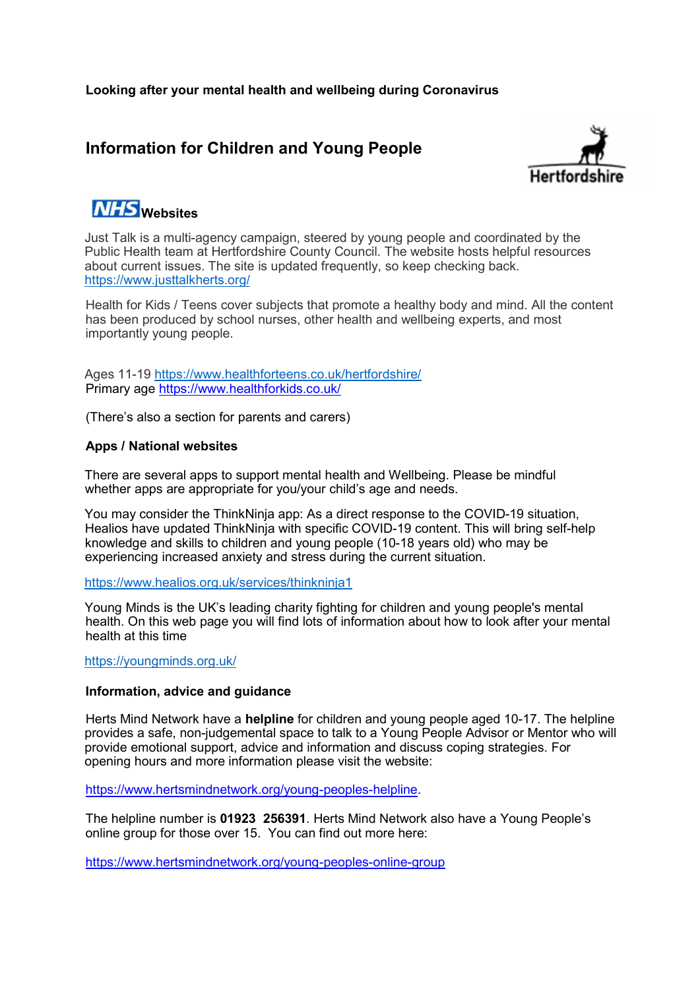# Information for Children and Young People



# **NHS** websites

Just Talk is a multi-agency campaign, steered by young people and coordinated by the Public Health team at Hertfordshire County Council. The website hosts helpful resources about current issues. The site is updated frequently, so keep checking back. https://www.justtalkherts.org/

Health for Kids / Teens cover subjects that promote a healthy body and mind. All the content has been produced by school nurses, other health and wellbeing experts, and most importantly young people.

Ages 11-19 https://www.healthforteens.co.uk/hertfordshire/ Primary age https://www.healthforkids.co.uk/

(There's also a section for parents and carers)

# Apps / National websites

There are several apps to support mental health and Wellbeing. Please be mindful whether apps are appropriate for you/your child's age and needs.

You may consider the ThinkNinja app: As a direct response to the COVID-19 situation, Healios have updated ThinkNinja with specific COVID-19 content. This will bring self-help knowledge and skills to children and young people (10-18 years old) who may be experiencing increased anxiety and stress during the current situation.

https://www.healios.org.uk/services/thinkninja1

Young Minds is the UK's leading charity fighting for children and young people's mental health. On this web page you will find lots of information about how to look after your mental health at this time

https://youngminds.org.uk/

## Information, advice and guidance

Herts Mind Network have a **helpline** for children and young people aged 10-17. The helpline provides a safe, non-judgemental space to talk to a Young People Advisor or Mentor who will provide emotional support, advice and information and discuss coping strategies. For opening hours and more information please visit the website:

https://www.hertsmindnetwork.org/young-peoples-helpline.

The helpline number is 01923 256391. Herts Mind Network also have a Young People's online group for those over 15. You can find out more here:

https://www.hertsmindnetwork.org/young-peoples-online-group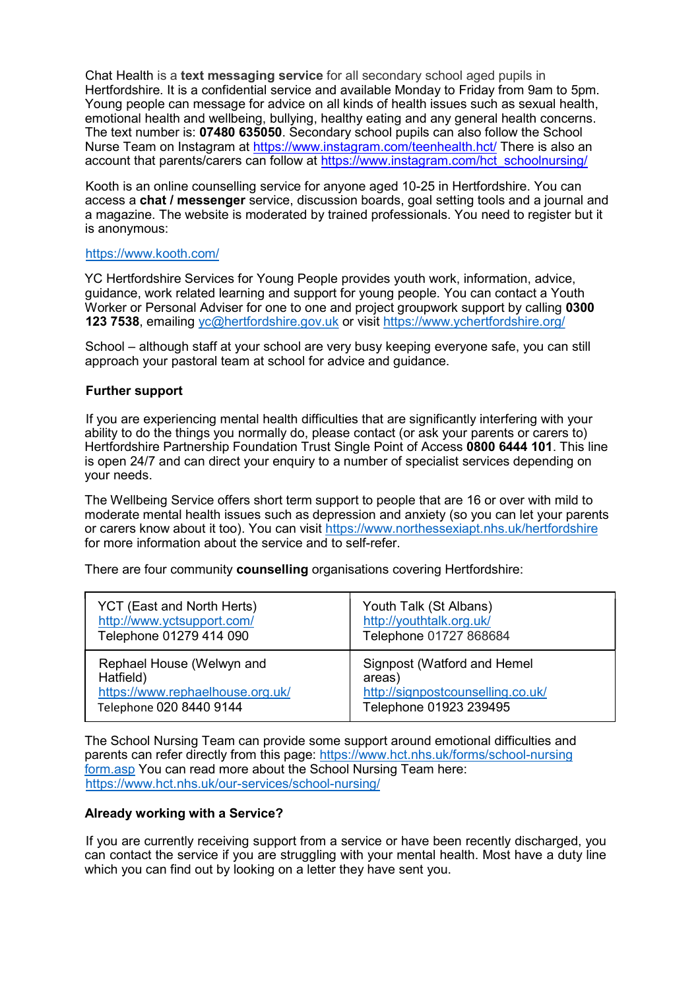Chat Health is a text messaging service for all secondary school aged pupils in Hertfordshire. It is a confidential service and available Monday to Friday from 9am to 5pm. Young people can message for advice on all kinds of health issues such as sexual health, emotional health and wellbeing, bullying, healthy eating and any general health concerns. The text number is: 07480 635050. Secondary school pupils can also follow the School Nurse Team on Instagram at https://www.instagram.com/teenhealth.hct/ There is also an account that parents/carers can follow at https://www.instagram.com/hct\_schoolnursing/

Kooth is an online counselling service for anyone aged 10-25 in Hertfordshire. You can access a chat / messenger service, discussion boards, goal setting tools and a journal and a magazine. The website is moderated by trained professionals. You need to register but it is anonymous:

#### https://www.kooth.com/

YC Hertfordshire Services for Young People provides youth work, information, advice, guidance, work related learning and support for young people. You can contact a Youth Worker or Personal Adviser for one to one and project groupwork support by calling 0300 123 7538, emailing yc@hertfordshire.gov.uk or visit https://www.ychertfordshire.org/

School – although staff at your school are very busy keeping everyone safe, you can still approach your pastoral team at school for advice and guidance.

#### Further support

If you are experiencing mental health difficulties that are significantly interfering with your ability to do the things you normally do, please contact (or ask your parents or carers to) Hertfordshire Partnership Foundation Trust Single Point of Access 0800 6444 101. This line is open 24/7 and can direct your enquiry to a number of specialist services depending on your needs.

The Wellbeing Service offers short term support to people that are 16 or over with mild to moderate mental health issues such as depression and anxiety (so you can let your parents or carers know about it too). You can visit https://www.northessexiapt.nhs.uk/hertfordshire for more information about the service and to self-refer.

There are four community counselling organisations covering Hertfordshire:

| <b>YCT</b> (East and North Herts) | Youth Talk (St Albans)            |
|-----------------------------------|-----------------------------------|
| http://www.yctsupport.com/        | http://youthtalk.org.uk/          |
| Telephone 01279 414 090           | Telephone 01727 868684            |
| Rephael House (Welwyn and         | Signpost (Watford and Hemel       |
| Hatfield)                         | areas)                            |
| https://www.rephaelhouse.org.uk/  | http://signpostcounselling.co.uk/ |
| Telephone 020 8440 9144           | Telephone 01923 239495            |

The School Nursing Team can provide some support around emotional difficulties and parents can refer directly from this page: https://www.hct.nhs.uk/forms/school-nursing form.asp You can read more about the School Nursing Team here: https://www.hct.nhs.uk/our-services/school-nursing/

#### Already working with a Service?

If you are currently receiving support from a service or have been recently discharged, you can contact the service if you are struggling with your mental health. Most have a duty line which you can find out by looking on a letter they have sent you.